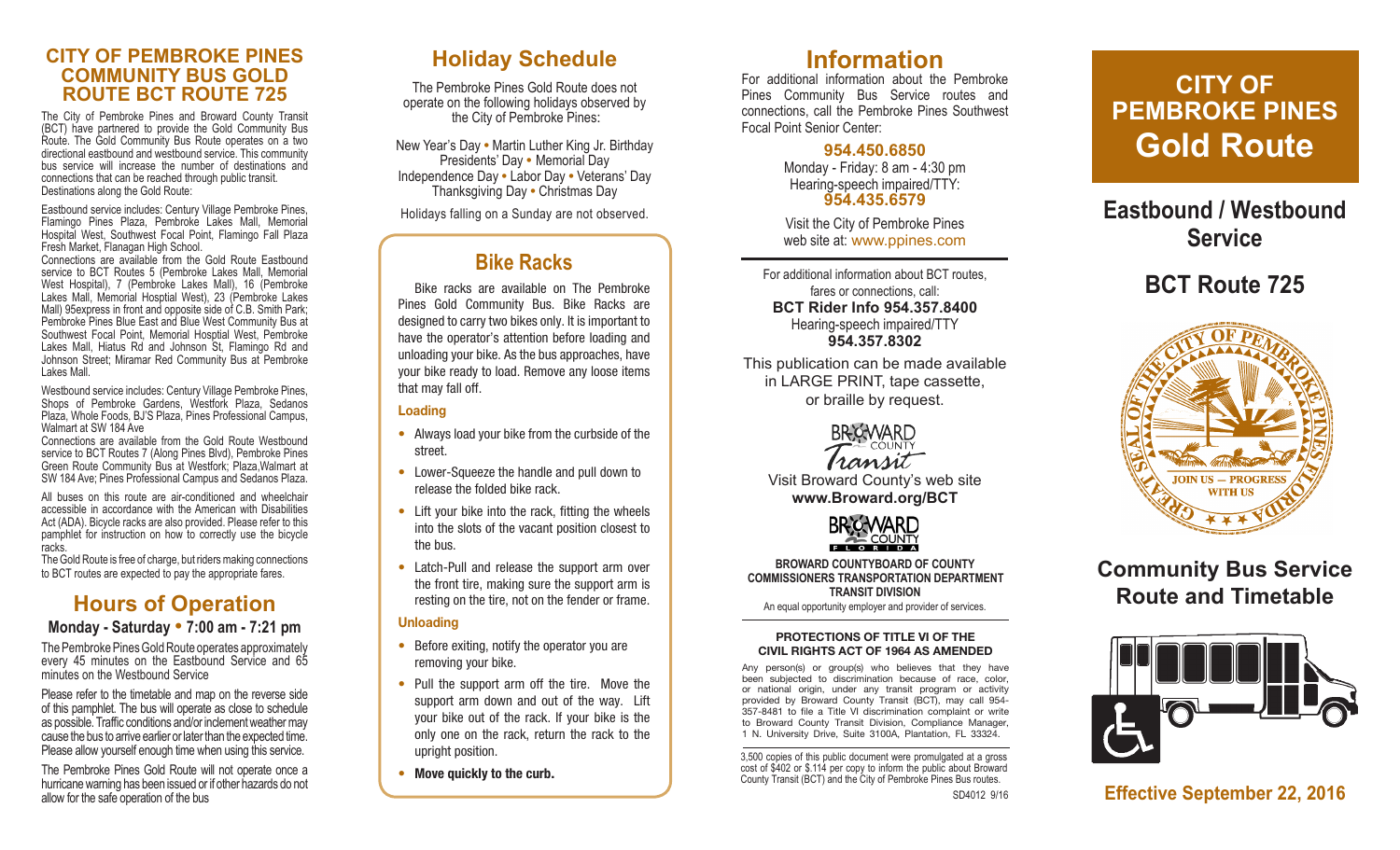#### **CITY OF PEMBROKE PINES COMMUNITY BUS GOLD ROUTE BCT ROUTE 725**

The City of Pembroke Pines and Broward County Transit (BCT) have partnered to provide the Gold Community Bus Route. The Gold Community Bus Route operates on a two directional eastbound and westbound service. This community bus service will increase the number of destinations and connections that can be reached through public transit. Destinations along the Gold Route:

Eastbound service includes: Century Village Pembroke Pines, Flamingo Pines Plaza, Pembroke Lakes Mall, Memorial Hospital West, Southwest Focal Point, Flamingo Fall Plaza Fresh Market, Flanagan High School.

Connections are available from the Gold Route Eastbound service to BCT Routes 5 (Pembroke Lakes Mall, Memorial West Hospital), 7 (Pembroke Lakes Mall), 16 (Pembroke Lakes Mall, Memorial Hosptial West), 23 (Pembroke Lakes Mall) 95express in front and opposite side of C.B. Smith Park; Pembroke Pines Blue East and Blue West Community Bus at Southwest Focal Point, Memorial Hosptial West, Pembroke Lakes Mall, Hiatus Rd and Johnson St, Flamingo Rd and Johnson Street; Miramar Red Community Bus at Pembroke Lakes Mall.

Westbound service includes: Century Village Pembroke Pines, Shops of Pembroke Gardens, Westfork Plaza, Sedanos Plaza, Whole Foods, BJ'S Plaza, Pines Professional Campus, Walmart at SW 184 Ave

Connections are available from the Gold Route Westbound service to BCT Routes 7 (Along Pines Blvd), Pembroke Pines Green Route Community Bus at Westfork; Plaza,Walmart at SW 184 Ave; Pines Professional Campus and Sedanos Plaza.

All buses on this route are air-conditioned and wheelchair accessible in accordance with the American with Disabilities Act (ADA). Bicycle racks are also provided. Please refer to this pamphlet for instruction on how to correctly use the bicycle racks.

The Gold Route is free of charge, but riders making connections to BCT routes are expected to pay the appropriate fares.

## **Hours of Operation**

#### **Monday - Saturday • 7:00 am - 7:21 pm**

The Pembroke Pines Gold Route operates approximately every 45 minutes on the Eastbound Service and 65 minutes on the Westbound Service

Please refer to the timetable and map on the reverse side of this pamphlet. The bus will operate as close to schedule as possible. Traffic conditions and/or inclement weather may cause the bus to arrive earlier or later than the expected time. Please allow yourself enough time when using this service.

The Pembroke Pines Gold Route will not operate once a hurricane warning has been issued or if other hazards do not allow for the safe operation of the bus

### **Holiday Schedule**

The Pembroke Pines Gold Route does not operate on the following holidays observed by the City of Pembroke Pines :

New Year's Day **•** Martin Luther King Jr. Birthday Presidents' Day **•** Memorial Day Independence Day **•** Labor Day **•** Veterans' Day Thanksgiving Day **•** Christmas Day

Holidays falling on a Sunday are not observed.

### **Bike Racks**

Bike racks are available on The Pembroke Pines Gold Community Bus. Bike Racks are designed to carry two bikes only. It is important to have the operator's attention before loading and unloading your bike. As the bus approaches, have your bike ready to load. Remove any loose items that may fall off.

#### **Loading**

- Always load your bike from the curbside of the street.
- Lower-Squeeze the handle and pull down to release the folded bike rack.
- Lift your bike into the rack, fitting the wheels into the slots of the vacant position closest to the bus.
- Latch-Pull and release the support arm over the front tire, making sure the support arm is resting on the tire, not on the fender or frame.

#### **Unloading**

- Before exiting, notify the operator you are removing your bike.
- Pull the support arm off the tire. Move the support arm down and out of the way. Lift your bike out of the rack. If your bike is the only one on the rack, return the rack to the upright position.
- **Move quickly to the curb .**

### **Information**

For additional information about the Pembroke Pines Community Bus Service routes and connections, call the Pembroke Pines Southwest Focal Point Senior Center:

> **954.450.6850** Monday - Friday: 8 am - 4:30 pm Hearing-speech impaired/TTY: **954.435.6579**

Visit the City of Pembroke Pines web site at: www.ppines.com

For additional information about BCT routes, fares or connections, call: **BCT Rider Info 954.357.8400** Hearing-speech impaired/TTY **954.357.8302**

This publication can be made available in LARGE PRINT, tape cassette, or braille by request.



Visit Broward County's web site **www.Broward.org/BCT**



**BROWARD COUNTYBOARD OF COUNTY COMMISSIONERS TRANSPORTATION DEPARTMENT TRANSIT DIVISION**

An equal opportunity employer and provider of services.

#### **PROTECTIONS OF TITLE VI OF THE CIVIL RIGHTS ACT OF 1964 AS AMENDED**

Any person(s) or group(s) who believes that they have been subjected to discrimination because of race, color, or national origin, under any transit program or activity provided by Broward County Transit (BCT), may call 954- 357-8481 to file a Title VI discrimination complaint or write to Broward County Transit Division, Compliance Manager, 1 N. University Drive, Suite 3100A, Plantation, FL 33324.

3,500 copies of this public document were promulgated at a gross cost of \$402 or \$.114 per copy to inform the public about Broward County Transit (BCT) and the City of Pembroke Pines Bus routes.

# **CITY OF PEMBROKE PINES Gold Route**

## **Eastbound / Westbound Service**

# **BCT Route 725**



## **Community Bus Service Route and Timetable**



**Effective September 22, 2016**